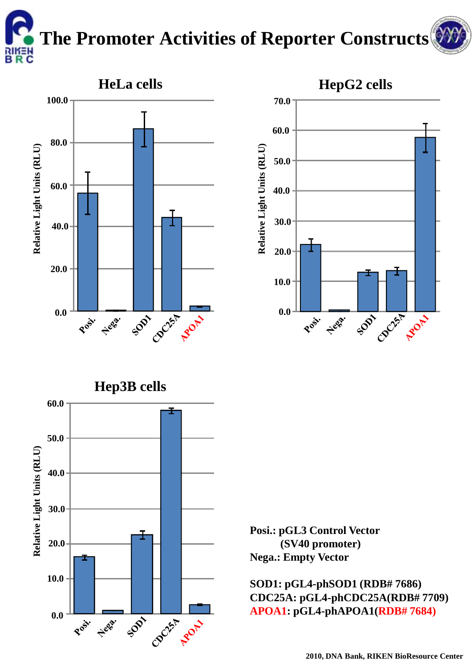**The Promoter Activities of Reporter Constructs**







**Posi.: pGL3 Control Vector (SV40 promoter) Nega.: Empty Vector**

**SOD1: pGL4-phSOD1 (RDB# 7686) CDC25A: pGL4-phCDC25A(RDB# 7709) APOA1: pGL4-phAPOA1(RDB# 7684)**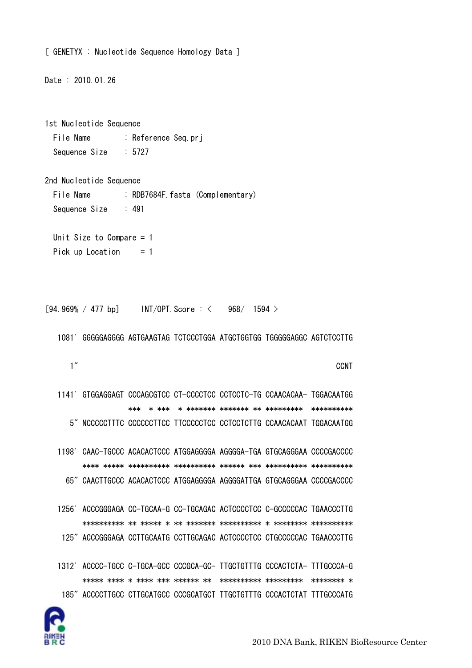```
[ GENETYX : Nucleotide Sequence Homology Data ]
Date: 2010.01.26
1st Nucleotide Sequence
  File Name
                    : Reference Seq.prj
  Sequence Size
                    \therefore 5727
2nd Nucleotide Sequence
  File Name
                     : RDB7684F. fasta (Complementary)
  Sequence Size
                     \therefore 491
  Unit Size to Compare = 1Pick up Location
                         = 1[94.969% / 477 bp] \blacksquare \blacksquare \blacksquare \blacksquare \blacksquare \blacksquare \blacksquare \blacksquare \blacksquare \blacksquare \blacksquare \blacksquare \blacksquare \blacksquare \blacksquare \blacksquare \blacksquare \blacksquare \blacksquare \blacksquare \blacksquare \blacksquare \blacksquare \blacksquare \blacksquare \blacksquare \blacksquare \blacksquare \blacksquare968/ 1594 >
   1081' GGGGGAGGGG AGTGAAGTAG TCTCCCTGGA ATGCTGGTGG TGGGGGAGGC AGTCTCCTTG
      1''CCNT
   1141' GTGGAGGAGT CCCAGCGTCC CT-CCCCTCC CCTCCTC-TG CCAACACAA- TGGACAATGG
                      5" NCCCCCTTTC CCCCCCTTCC TTCCCCCTCC CCTCCTCTTG CCAACACAAT TGGACAATGG
   1198' CAAC-TGCCC ACACACTCCC ATGGAGGGGA AGGGGA-TGA GTGCAGGGAA CCCCGACCCC
         65" CAACTTGCCC ACACACTCCC ATGGAGGGGA AGGGGATTGA GTGCAGGGAA CCCCGACCCC
   1256' ACCCGGGAGA CC-TGCAA-G CC-TGCAGAC ACTCCCCTCC C-GCCCCCAC TGAACCCTTG
          125" ACCCGGGAGA CCTTGCAATG CCTTGCAGAC ACTCCCCTCC CTGCCCCCAC TGAACCCTTG
   1312' ACCCC-TGCC C-TGCA-GCC CCCGCA-GC- TTGCTGTTTG CCCACTCTA- TTTGCCCA-G
         185" ACCCCTTGCC CTTGCATGCC CCCGCATGCT TTGCTGTTTG CCCACTCTAT TTTGCCCATG
```
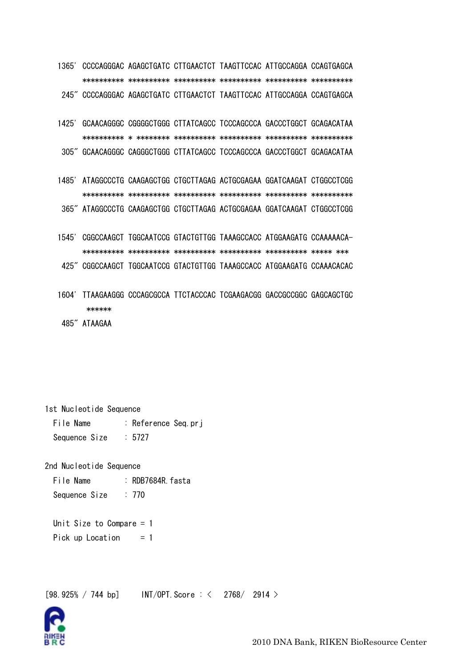1365' CCCCAGGGAC AGAGCTGATC CTTGAACTCT TAAGTTCCAC ATTGCCAGGA CCAGTGAGCA 245" CCCCAGGGAC AGAGCTGATC CTTGAACTCT TAAGTTCCAC ATTGCCAGGA CCAGTGAGCA

- 1425' GCAACAGGGC CGGGGCTGGG CTTATCAGCC TCCCAGCCCA GACCCTGGCT GCAGACATAA 305" GCAACAGGGC CAGGGCTGGG CTTATCAGCC TCCCAGCCCA GACCCTGGCT GCAGACATAA
- 1485' ATAGGCCCTG CAAGAGCTGG CTGCTTAGAG ACTGCGAGAA GGATCAAGAT CTGGCCTCGG 365" ATAGGCCCTG CAAGAGCTGG CTGCTTAGAG ACTGCGAGAA GGATCAAGAT CTGGCCTCGG
- 1545' CGGCCAAGCT TGGCAATCCG GTACTGTTGG TAAAGCCACC ATGGAAGATG CCAAAAACA-
- 425" CGGCCAAGCT TGGCAATCCG GTACTGTTGG TAAAGCCACC ATGGAAGATG CCAAACACAC
- 1604' TTAAGAAGGG CCCAGCGCCA TTCTACCCAC TCGAAGACGG GACCGCCGGC GAGCAGCTGC \*\*\*\*\*\*
- 485" ATAAGAA

1st Nucleotide Sequence File Name : Reference Seq.pri Sequence Size  $\therefore$  5727

2nd Nucleotide Sequence : RDB7684R. fasta File Name Sequence Size  $: 770$ 

Unit Size to Compare  $= 1$ Pick up Location  $= 1$ 

 $INT/OPT. Score: < 2768/2914 >$  $[98.925\% / 744$  bp]

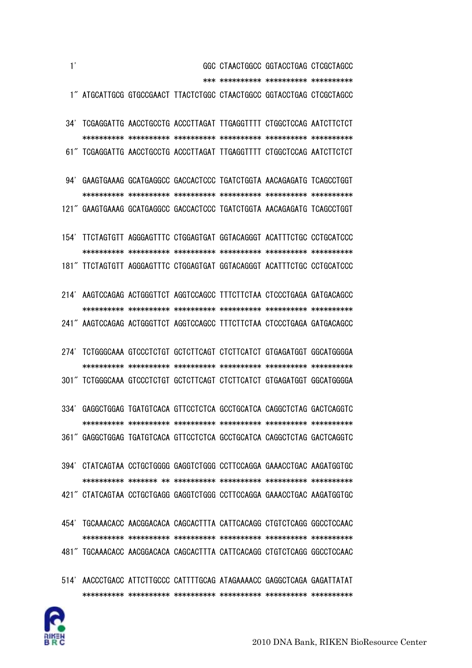

- 454' TGCAAACACC AACGGACACA CAGCACTTTA CATTCACAGG CTGTCTCAGG GGCCTCCAAC \*\*\*\*\*\*\*\*\*\* \*\*\*\*\*\*\*\*\*\* \*\*\*\*\*\*\*\*\*\* \*\*\*\*\*\*\*\*\*\* \*\*\*\*\*\*\*\*\*\* \*\*\*\*\*\*\*\*\*\* 481" TGCAAACACC AACGGACACA CAGCACTTTA CATTCACAGG CTGTCTCAGG GGCCTCCAAC
- \*\*\*\*\*\*\*\*\*\* \*\*\*\*\*\*\* \*\* \*\*\*\*\*\*\*\*\*\* \*\*\*\*\*\*\*\*\*\* \*\*\*\*\*\*\*\*\*\* \*\*\*\*\*\*\*\*\*\* 421" CTATCAGTAA CCTGCTGAGG GAGGTCTGGG CCTTCCAGGA GAAACCTGAC AAGATGGTGC

394' CTATCAGTAA CCTGCTGGGG GAGGTCTGGG CCTTCCAGGA GAAACCTGAC AAGATGGTGC

 \*\*\*\*\*\*\*\*\*\* \*\*\*\*\*\*\*\*\*\* \*\*\*\*\*\*\*\*\*\* \*\*\*\*\*\*\*\*\*\* \*\*\*\*\*\*\*\*\*\* \*\*\*\*\*\*\*\*\*\* 361" GAGGCTGGAG TGATGTCACA GTTCCTCTCA GCCTGCATCA CAGGCTCTAG GACTCAGGTC

334' GAGGCTGGAG TGATGTCACA GTTCCTCTCA GCCTGCATCA CAGGCTCTAG GACTCAGGTC

- \*\*\*\*\*\*\*\*\*\* \*\*\*\*\*\*\*\*\*\* \*\*\*\*\*\*\*\*\*\* \*\*\*\*\*\*\*\*\*\* \*\*\*\*\*\*\*\*\*\* \*\*\*\*\*\*\*\*\*\* 301" TCTGGGCAAA GTCCCTCTGT GCTCTTCAGT CTCTTCATCT GTGAGATGGT GGCATGGGGA
- \*\*\*\*\*\*\*\*\*\* \*\*\*\*\*\*\*\*\*\* \*\*\*\*\*\*\*\*\*\* \*\*\*\*\*\*\*\*\*\* \*\*\*\*\*\*\*\*\*\* \*\*\*\*\*\*\*\*\*\* 241" AAGTCCAGAG ACTGGGTTCT AGGTCCAGCC TTTCTTCTAA CTCCCTGAGA GATGACAGCC

274' TCTGGGCAAA GTCCCTCTGT GCTCTTCAGT CTCTTCATCT GTGAGATGGT GGCATGGGGA

- 181" TTCTAGTGTT AGGGAGTTTC CTGGAGTGAT GGTACAGGGT ACATTTCTGC CCTGCATCCC 214' AAGTCCAGAG ACTGGGTTCT AGGTCCAGCC TTTCTTCTAA CTCCCTGAGA GATGACAGCC
- 154' TTCTAGTGTT AGGGAGTTTC CTGGAGTGAT GGTACAGGGT ACATTTCTGC CCTGCATCCC \*\*\*\*\*\*\*\*\*\* \*\*\*\*\*\*\*\*\*\* \*\*\*\*\*\*\*\*\*\* \*\*\*\*\*\*\*\*\*\* \*\*\*\*\*\*\*\*\*\* \*\*\*\*\*\*\*\*\*\*

121" GAAGTGAAAG GCATGAGGCC GACCACTCCC TGATCTGGTA AACAGAGATG TCAGCCTGGT

 \*\*\*\*\*\*\*\*\*\* \*\*\*\*\*\*\*\*\*\* \*\*\*\*\*\*\*\*\*\* \*\*\*\*\*\*\*\*\*\* \*\*\*\*\*\*\*\*\*\* \*\*\*\*\*\*\*\*\*\* 61" TCGAGGATTG AACCTGCCTG ACCCTTAGAT TTGAGGTTTT CTGGCTCCAG AATCTTCTCT

94' GAAGTGAAAG GCATGAGGCC GACCACTCCC TGATCTGGTA AACAGAGATG TCAGCCTGGT

\*\*\*\*\*\*\*\*\*\* \*\*\*\*\*\*\*\*\*\* \*\*\*\*\*\*\*\*\*\* \*\*\*\*\*\*\*\*\*\* \*\*\*\*\*\*\*\*\*\* \*\*\*\*\*\*\*\*\*\*

34' TCGAGGATTG AACCTGCCTG ACCCTTAGAT TTGAGGTTTT CTGGCTCCAG AATCTTCTCT

 1' GGC CTAACTGGCC GGTACCTGAG CTCGCTAGCC \*\*\* \*\*\*\*\*\*\*\*\*\* \*\*\*\*\*\*\*\*\*\* \*\*\*\*\*\*\*\*\*\* 1" ATGCATTGCG GTGCCGAACT TTACTCTGGC CTAACTGGCC GGTACCTGAG CTCGCTAGCC